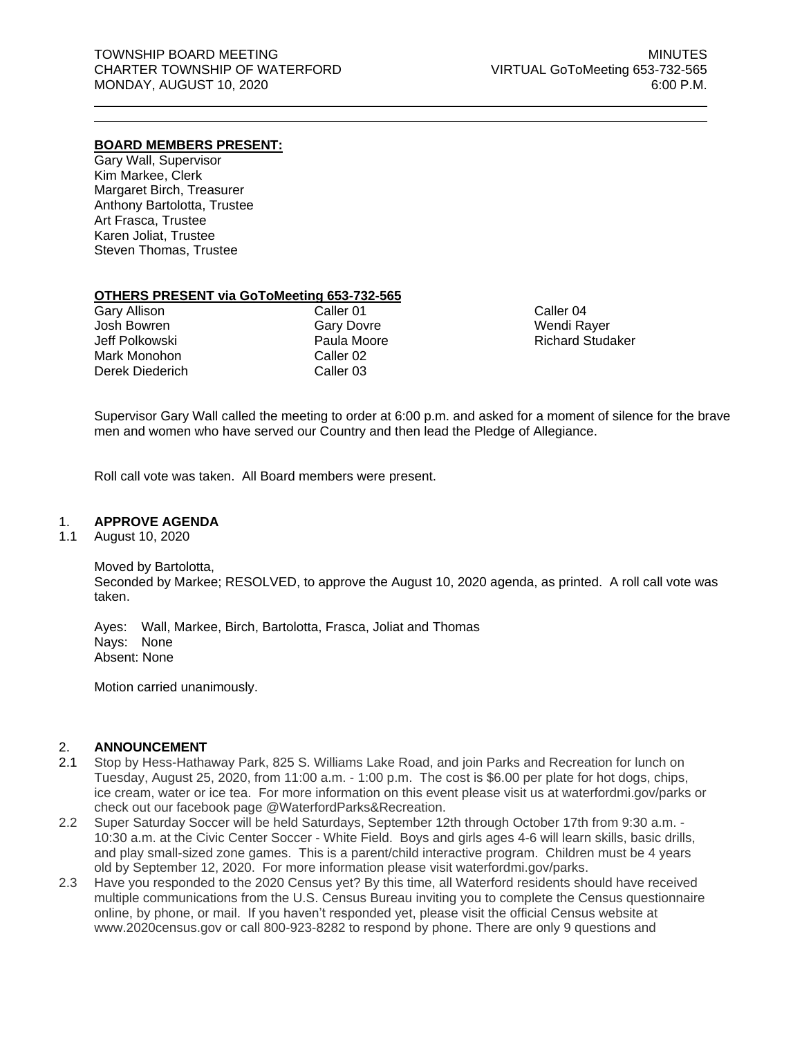## **BOARD MEMBERS PRESENT:**

Gary Wall, Supervisor Kim Markee, Clerk Margaret Birch, Treasurer Anthony Bartolotta, Trustee Art Frasca, Trustee Karen Joliat, Trustee Steven Thomas, Trustee

### **OTHERS PRESENT via GoToMeeting 653-732-565**

| <b>Gary Allison</b> |  |
|---------------------|--|
| Josh Bowren         |  |
| Jeff Polkowski      |  |
| Mark Monohon        |  |
| Derek Diederich     |  |

Caller 01 Gary Dovre Paula Moore Caller 02 Caller 03

Caller 04 Wendi Rayer Richard Studaker

Supervisor Gary Wall called the meeting to order at 6:00 p.m. and asked for a moment of silence for the brave men and women who have served our Country and then lead the Pledge of Allegiance.

Roll call vote was taken. All Board members were present.

## 1. **APPROVE AGENDA**

1.1 August 10, 2020

Moved by Bartolotta, Seconded by Markee; RESOLVED, to approve the August 10, 2020 agenda, as printed. A roll call vote was taken.

Ayes: Wall, Markee, Birch, Bartolotta, Frasca, Joliat and Thomas Nays: None Absent: None

Motion carried unanimously.

## 2. **ANNOUNCEMENT**

- 2.1 Stop by Hess-Hathaway Park, 825 S. Williams Lake Road, and join Parks and Recreation for lunch on Tuesday, August 25, 2020, from 11:00 a.m. - 1:00 p.m. The cost is \$6.00 per plate for hot dogs, chips, ice cream, water or ice tea. For more information on this event please visit us at waterfordmi.gov/parks or check out our facebook page @WaterfordParks&Recreation.
- 2.2 Super Saturday Soccer will be held Saturdays, September 12th through October 17th from 9:30 a.m. 10:30 a.m. at the Civic Center Soccer - White Field. Boys and girls ages 4-6 will learn skills, basic drills, and play small-sized zone games. This is a parent/child interactive program. Children must be 4 years old by September 12, 2020. For more information please visit waterfordmi.gov/parks.
- 2.3 Have you responded to the 2020 Census yet? By this time, all Waterford residents should have received multiple communications from the U.S. Census Bureau inviting you to complete the Census questionnaire online, by phone, or mail. If you haven't responded yet, please visit the official Census website at www.2020census.gov or call 800-923-8282 to respond by phone. There are only 9 questions and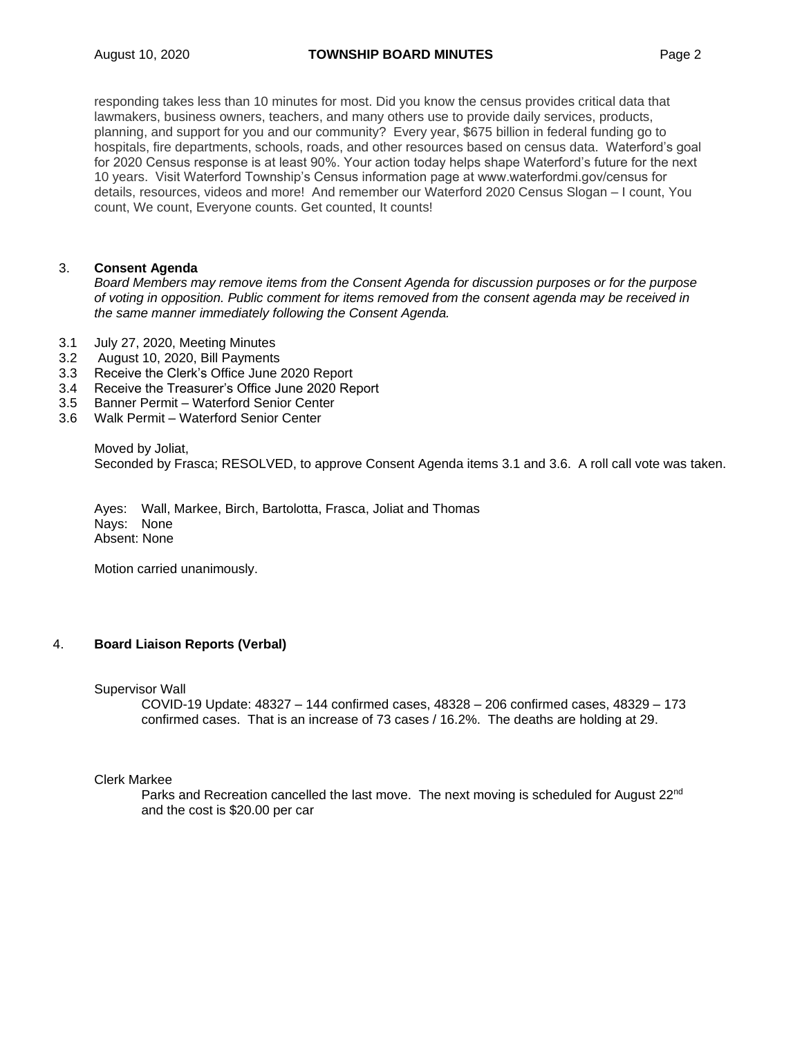responding takes less than 10 minutes for most. Did you know the census provides critical data that lawmakers, business owners, teachers, and many others use to provide daily services, products, planning, and support for you and our community? Every year, \$675 billion in federal funding go to hospitals, fire departments, schools, roads, and other resources based on census data. Waterford's goal for 2020 Census response is at least 90%. Your action today helps shape Waterford's future for the next 10 years. Visit Waterford Township's Census information page at www.waterfordmi.gov/census for details, resources, videos and more! And remember our Waterford 2020 Census Slogan – I count, You count, We count, Everyone counts. Get counted, It counts!

## 3. **Consent Agenda**

*Board Members may remove items from the Consent Agenda for discussion purposes or for the purpose of voting in opposition. Public comment for items removed from the consent agenda may be received in the same manner immediately following the Consent Agenda.*

- 3.1 July 27, 2020, Meeting Minutes
- 3.2 August 10, 2020, Bill Payments
- 3.3 Receive the Clerk's Office June 2020 Report
- 3.4 Receive the Treasurer's Office June 2020 Report
- 3.5 Banner Permit Waterford Senior Center
- 3.6 Walk Permit Waterford Senior Center

Moved by Joliat, Seconded by Frasca; RESOLVED, to approve Consent Agenda items 3.1 and 3.6. A roll call vote was taken.

Ayes: Wall, Markee, Birch, Bartolotta, Frasca, Joliat and Thomas Nays: None Absent: None

Motion carried unanimously.

## 4. **Board Liaison Reports (Verbal)**

Supervisor Wall

COVID-19 Update: 48327 – 144 confirmed cases, 48328 – 206 confirmed cases, 48329 – 173 confirmed cases. That is an increase of 73 cases / 16.2%. The deaths are holding at 29.

## Clerk Markee

Parks and Recreation cancelled the last move. The next moving is scheduled for August  $22<sup>nd</sup>$ and the cost is \$20.00 per car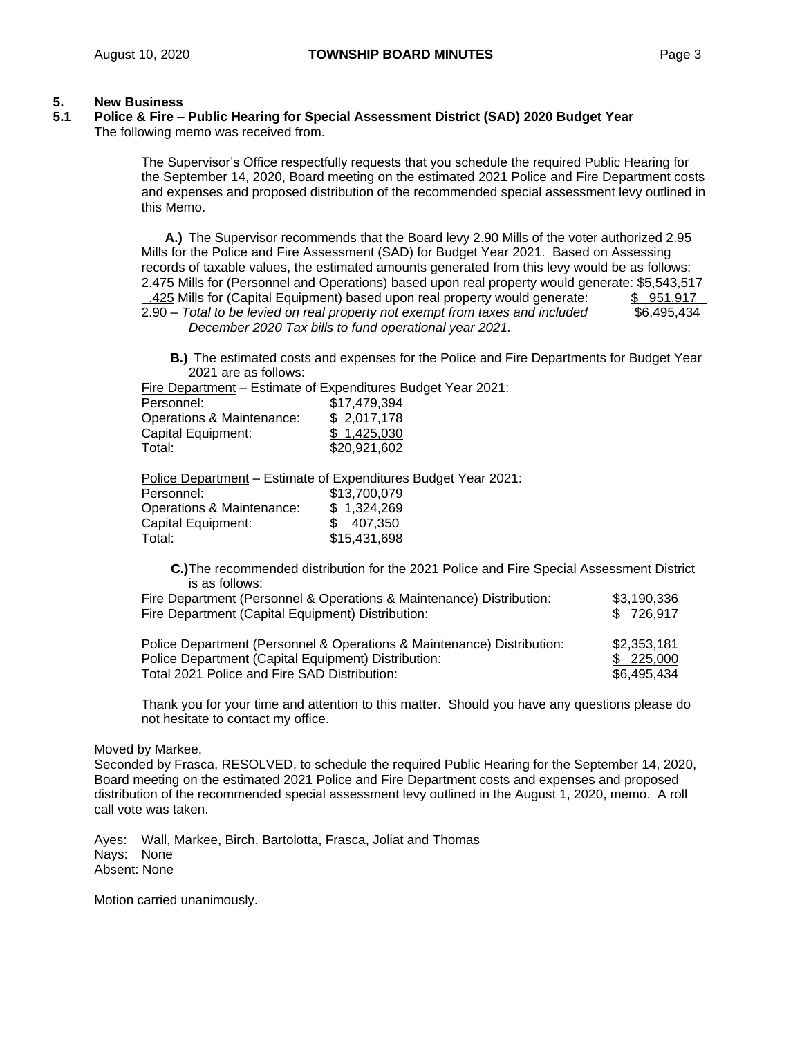### **5. New Business**

## **5.1 Police & Fire – Public Hearing for Special Assessment District (SAD) 2020 Budget Year** The following memo was received from.

The Supervisor's Office respectfully requests that you schedule the required Public Hearing for the September 14, 2020, Board meeting on the estimated 2021 Police and Fire Department costs and expenses and proposed distribution of the recommended special assessment levy outlined in this Memo.

**A.)** The Supervisor recommends that the Board levy 2.90 Mills of the voter authorized 2.95 Mills for the Police and Fire Assessment (SAD) for Budget Year 2021. Based on Assessing records of taxable values, the estimated amounts generated from this levy would be as follows: 2.475 Mills for (Personnel and Operations) based upon real property would generate: \$5,543,517

 .425 Mills for (Capital Equipment) based upon real property would generate: \$ 951,917 2.90 – *Total to be levied on real property not exempt from taxes and included* \$6,495,434  *December 2020 Tax bills to fund operational year 2021.*

**B.)** The estimated costs and expenses for the Police and Fire Departments for Budget Year 2021 are as follows:

Fire Department – Estimate of Expenditures Budget Year 2021:

| Personnel:                | \$17,479,394 |
|---------------------------|--------------|
| Operations & Maintenance: | \$2,017,178  |
| Capital Equipment:        | \$1,425,030  |
| Total:                    | \$20,921,602 |

Police Department – Estimate of Expenditures Budget Year 2021: Personnel: \$13,700,079 Operations & Maintenance: \$ 1,324,269 Capital Equipment: \$ 407,350 Total: \$15,431,698

**C.)**The recommended distribution for the 2021 Police and Fire Special Assessment District is as follows:

| Fire Department (Capital Equipment) Distribution:                    | \$726.917   |
|----------------------------------------------------------------------|-------------|
| Fire Department (Personnel & Operations & Maintenance) Distribution: | \$3.190.336 |

Police Department (Personnel & Operations & Maintenance) Distribution: \$2,353,181 Police Department (Capital Equipment) Distribution: \$ 225,000 Total 2021 Police and Fire SAD Distribution:  $$6,495,434$ 

Thank you for your time and attention to this matter. Should you have any questions please do not hesitate to contact my office.

Moved by Markee,

Seconded by Frasca, RESOLVED, to schedule the required Public Hearing for the September 14, 2020, Board meeting on the estimated 2021 Police and Fire Department costs and expenses and proposed distribution of the recommended special assessment levy outlined in the August 1, 2020, memo. A roll call vote was taken.

Ayes: Wall, Markee, Birch, Bartolotta, Frasca, Joliat and Thomas Nays: None Absent: None

Motion carried unanimously.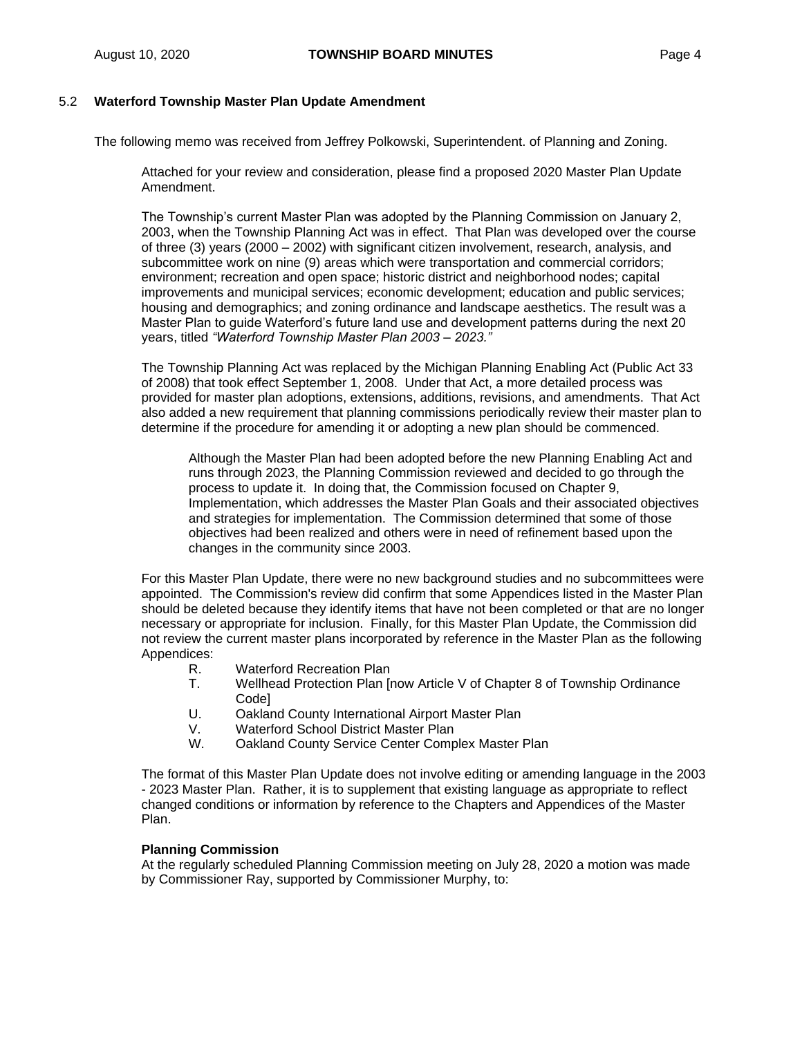## 5.2 **Waterford Township Master Plan Update Amendment**

The following memo was received from Jeffrey Polkowski, Superintendent. of Planning and Zoning.

Attached for your review and consideration, please find a proposed 2020 Master Plan Update Amendment.

The Township's current Master Plan was adopted by the Planning Commission on January 2, 2003, when the Township Planning Act was in effect. That Plan was developed over the course of three (3) years (2000 – 2002) with significant citizen involvement, research, analysis, and subcommittee work on nine (9) areas which were transportation and commercial corridors; environment; recreation and open space; historic district and neighborhood nodes; capital improvements and municipal services; economic development; education and public services; housing and demographics; and zoning ordinance and landscape aesthetics. The result was a Master Plan to guide Waterford's future land use and development patterns during the next 20 years, titled *"Waterford Township Master Plan 2003 – 2023."* 

The Township Planning Act was replaced by the Michigan Planning Enabling Act (Public Act 33 of 2008) that took effect September 1, 2008. Under that Act, a more detailed process was provided for master plan adoptions, extensions, additions, revisions, and amendments. That Act also added a new requirement that planning commissions periodically review their master plan to determine if the procedure for amending it or adopting a new plan should be commenced.

Although the Master Plan had been adopted before the new Planning Enabling Act and runs through 2023, the Planning Commission reviewed and decided to go through the process to update it. In doing that, the Commission focused on Chapter 9, Implementation, which addresses the Master Plan Goals and their associated objectives and strategies for implementation. The Commission determined that some of those objectives had been realized and others were in need of refinement based upon the changes in the community since 2003.

For this Master Plan Update, there were no new background studies and no subcommittees were appointed. The Commission's review did confirm that some Appendices listed in the Master Plan should be deleted because they identify items that have not been completed or that are no longer necessary or appropriate for inclusion. Finally, for this Master Plan Update, the Commission did not review the current master plans incorporated by reference in the Master Plan as the following Appendices:

- R. Waterford Recreation Plan<br>T. Wellhead Protection Plan In
- Wellhead Protection Plan [now Article V of Chapter 8 of Township Ordinance Code]
- U. Oakland County International Airport Master Plan
- V. Waterford School District Master Plan
- W. Oakland County Service Center Complex Master Plan

The format of this Master Plan Update does not involve editing or amending language in the 2003 - 2023 Master Plan. Rather, it is to supplement that existing language as appropriate to reflect changed conditions or information by reference to the Chapters and Appendices of the Master Plan.

#### **Planning Commission**

At the regularly scheduled Planning Commission meeting on July 28, 2020 a motion was made by Commissioner Ray, supported by Commissioner Murphy, to: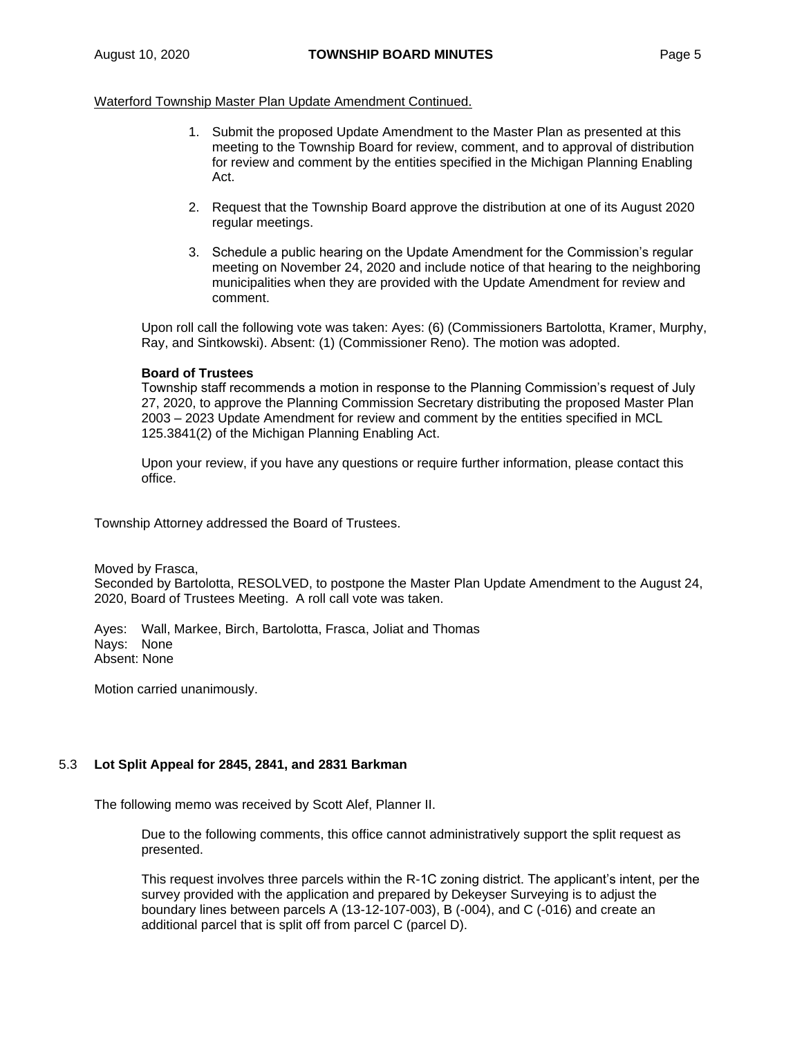## Waterford Township Master Plan Update Amendment Continued.

- 1. Submit the proposed Update Amendment to the Master Plan as presented at this meeting to the Township Board for review, comment, and to approval of distribution for review and comment by the entities specified in the Michigan Planning Enabling Act.
- 2. Request that the Township Board approve the distribution at one of its August 2020 regular meetings.
- 3. Schedule a public hearing on the Update Amendment for the Commission's regular meeting on November 24, 2020 and include notice of that hearing to the neighboring municipalities when they are provided with the Update Amendment for review and comment.

Upon roll call the following vote was taken: Ayes: (6) (Commissioners Bartolotta, Kramer, Murphy, Ray, and Sintkowski). Absent: (1) (Commissioner Reno). The motion was adopted.

### **Board of Trustees**

Township staff recommends a motion in response to the Planning Commission's request of July 27, 2020, to approve the Planning Commission Secretary distributing the proposed Master Plan 2003 – 2023 Update Amendment for review and comment by the entities specified in MCL 125.3841(2) of the Michigan Planning Enabling Act.

Upon your review, if you have any questions or require further information, please contact this office.

Township Attorney addressed the Board of Trustees.

Moved by Frasca,

Seconded by Bartolotta, RESOLVED, to postpone the Master Plan Update Amendment to the August 24, 2020, Board of Trustees Meeting. A roll call vote was taken.

Ayes: Wall, Markee, Birch, Bartolotta, Frasca, Joliat and Thomas Nays: None Absent: None

Motion carried unanimously.

## 5.3 **Lot Split Appeal for 2845, 2841, and 2831 Barkman**

The following memo was received by Scott Alef, Planner II.

Due to the following comments, this office cannot administratively support the split request as presented.

This request involves three parcels within the R-1C zoning district. The applicant's intent, per the survey provided with the application and prepared by Dekeyser Surveying is to adjust the boundary lines between parcels A (13-12-107-003), B (-004), and C (-016) and create an additional parcel that is split off from parcel C (parcel D).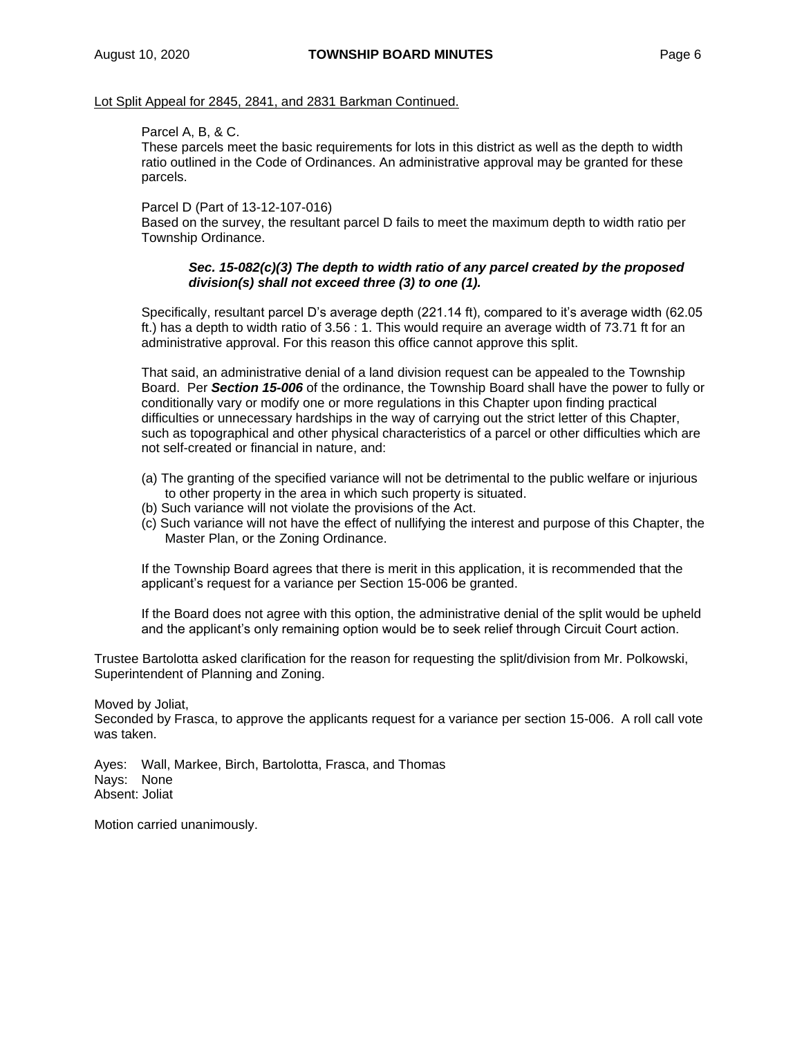### Lot Split Appeal for 2845, 2841, and 2831 Barkman Continued.

## Parcel A, B, & C.

These parcels meet the basic requirements for lots in this district as well as the depth to width ratio outlined in the Code of Ordinances. An administrative approval may be granted for these parcels.

### Parcel D (Part of 13-12-107-016)

Based on the survey, the resultant parcel D fails to meet the maximum depth to width ratio per Township Ordinance.

## *Sec. 15-082(c)(3) The depth to width ratio of any parcel created by the proposed division(s) shall not exceed three (3) to one (1).*

Specifically, resultant parcel D's average depth (221.14 ft), compared to it's average width (62.05 ft.) has a depth to width ratio of 3.56 : 1. This would require an average width of 73.71 ft for an administrative approval. For this reason this office cannot approve this split.

That said, an administrative denial of a land division request can be appealed to the Township Board. Per *Section 15-006* of the ordinance, the Township Board shall have the power to fully or conditionally vary or modify one or more regulations in this Chapter upon finding practical difficulties or unnecessary hardships in the way of carrying out the strict letter of this Chapter, such as topographical and other physical characteristics of a parcel or other difficulties which are not self-created or financial in nature, and:

- (a) The granting of the specified variance will not be detrimental to the public welfare or injurious to other property in the area in which such property is situated.
- (b) Such variance will not violate the provisions of the Act.
- (c) Such variance will not have the effect of nullifying the interest and purpose of this Chapter, the Master Plan, or the Zoning Ordinance.

If the Township Board agrees that there is merit in this application, it is recommended that the applicant's request for a variance per Section 15-006 be granted.

If the Board does not agree with this option, the administrative denial of the split would be upheld and the applicant's only remaining option would be to seek relief through Circuit Court action.

Trustee Bartolotta asked clarification for the reason for requesting the split/division from Mr. Polkowski, Superintendent of Planning and Zoning.

Moved by Joliat,

Seconded by Frasca, to approve the applicants request for a variance per section 15-006. A roll call vote was taken.

Ayes: Wall, Markee, Birch, Bartolotta, Frasca, and Thomas Nays: None Absent: Joliat

Motion carried unanimously.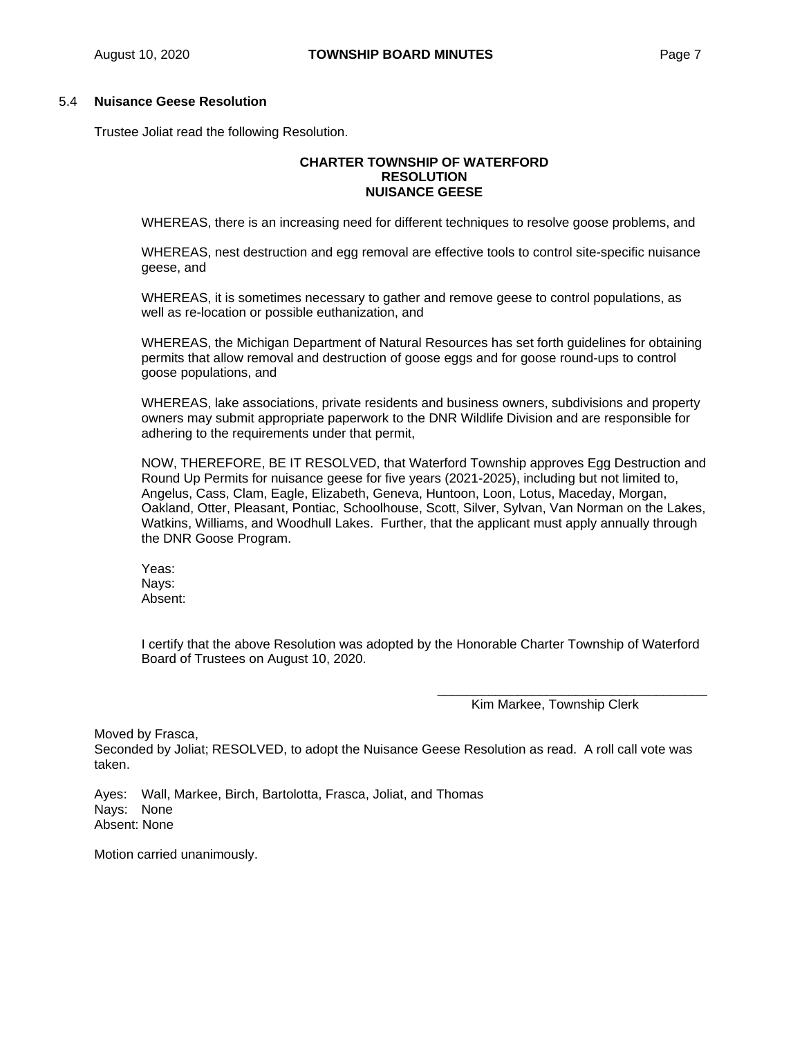## 5.4 **Nuisance Geese Resolution**

Trustee Joliat read the following Resolution.

## **CHARTER TOWNSHIP OF WATERFORD RESOLUTION NUISANCE GEESE**

WHEREAS, there is an increasing need for different techniques to resolve goose problems, and

WHEREAS, nest destruction and egg removal are effective tools to control site-specific nuisance geese, and

WHEREAS, it is sometimes necessary to gather and remove geese to control populations, as well as re-location or possible euthanization, and

WHEREAS, the Michigan Department of Natural Resources has set forth guidelines for obtaining permits that allow removal and destruction of goose eggs and for goose round-ups to control goose populations, and

WHEREAS, lake associations, private residents and business owners, subdivisions and property owners may submit appropriate paperwork to the DNR Wildlife Division and are responsible for adhering to the requirements under that permit,

NOW, THEREFORE, BE IT RESOLVED, that Waterford Township approves Egg Destruction and Round Up Permits for nuisance geese for five years (2021-2025), including but not limited to, Angelus, Cass, Clam, Eagle, Elizabeth, Geneva, Huntoon, Loon, Lotus, Maceday, Morgan, Oakland, Otter, Pleasant, Pontiac, Schoolhouse, Scott, Silver, Sylvan, Van Norman on the Lakes, Watkins, Williams, and Woodhull Lakes. Further, that the applicant must apply annually through the DNR Goose Program.

Yeas: Nays: Absent:

I certify that the above Resolution was adopted by the Honorable Charter Township of Waterford Board of Trustees on August 10, 2020.

Kim Markee, Township Clerk

\_\_\_\_\_\_\_\_\_\_\_\_\_\_\_\_\_\_\_\_\_\_\_\_\_\_\_\_\_\_\_\_\_\_\_\_\_

Moved by Frasca,

Seconded by Joliat; RESOLVED, to adopt the Nuisance Geese Resolution as read. A roll call vote was taken.

Ayes: Wall, Markee, Birch, Bartolotta, Frasca, Joliat, and Thomas Nays: None Absent: None

Motion carried unanimously.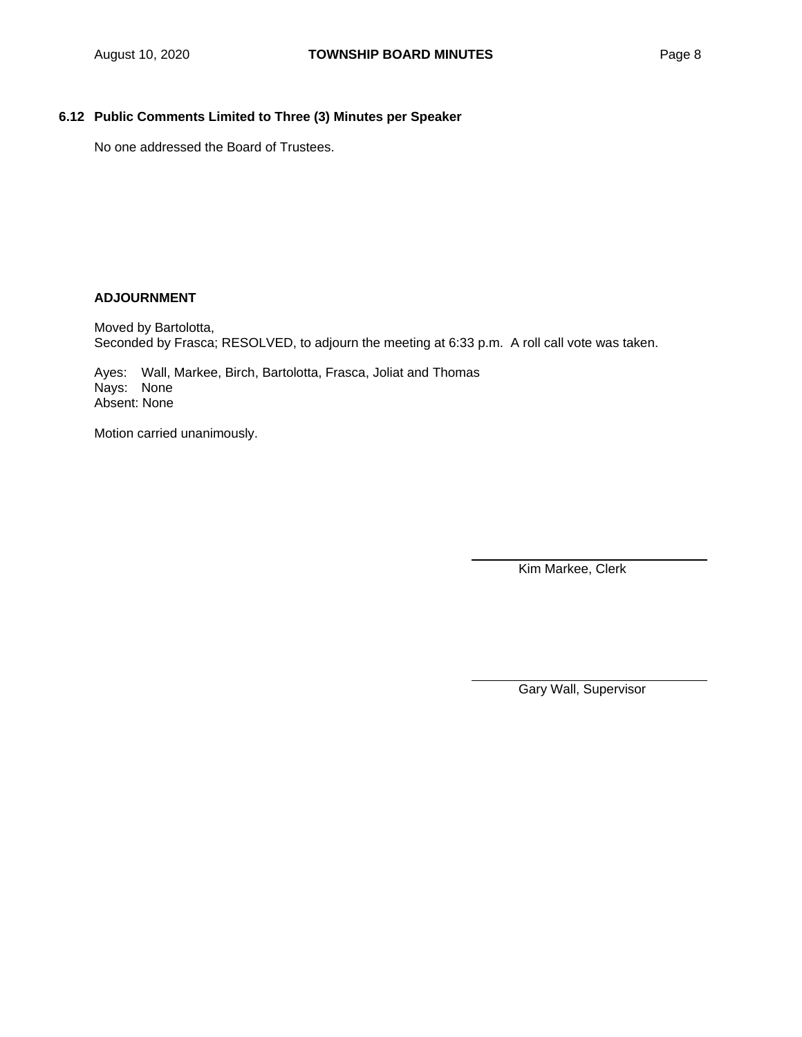# **6.12 Public Comments Limited to Three (3) Minutes per Speaker**

No one addressed the Board of Trustees.

## **ADJOURNMENT**

Moved by Bartolotta, Seconded by Frasca; RESOLVED, to adjourn the meeting at 6:33 p.m. A roll call vote was taken.

Ayes: Wall, Markee, Birch, Bartolotta, Frasca, Joliat and Thomas Nays: None Absent: None

Motion carried unanimously.

Kim Markee, Clerk

Gary Wall, Supervisor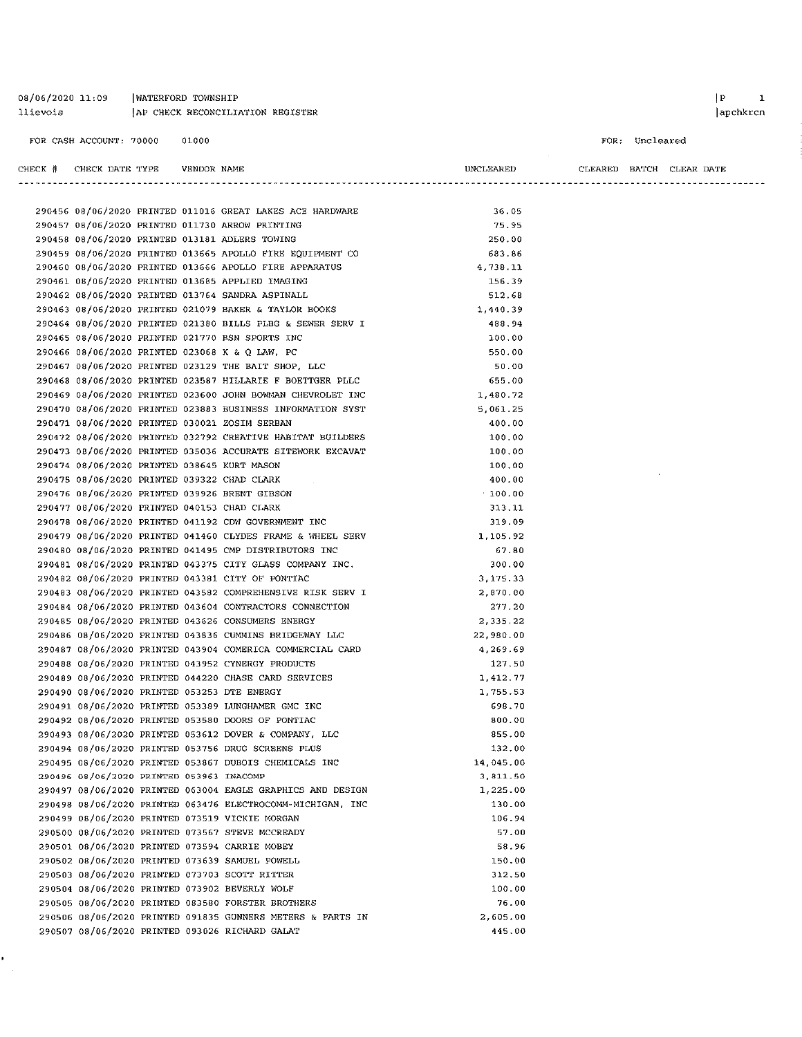| 08/06/2020 11:09 | WATERFORD TOWNSHIP               |
|------------------|----------------------------------|
| llievois         | AP CHECK RECONCILIATION REGISTER |

FOR CASH ACCOUNT: 70000 01000

×,

 $\begin{array}{ccc} \mid P & \mid & 1 \end{array}$ 

 $|apchkren$ 

```
FOR: Uncleared
```

| CHECK | TYPE<br>CHECK DATE | VENDOR NAME | IINCI<br><b>LEAREL</b> | CLEARED | BATCH | LEAR<br>DATE |
|-------|--------------------|-------------|------------------------|---------|-------|--------------|
|       |                    |             |                        |         |       |              |

 $\hat{\boldsymbol{\theta}}$ 

|                                             |  | 290456 08/06/2020 PRINTED 011016 GREAT LAKES ACE HARDWARE  | 36.05     |
|---------------------------------------------|--|------------------------------------------------------------|-----------|
|                                             |  | 290457 08/06/2020 PRINTED 011730 ARROW PRINTING            | 75.95     |
|                                             |  | 290458 08/06/2020 PRINTED 013181 ADLERS TOWING             | 250.00    |
|                                             |  | 290459 08/06/2020 PRINTED 013665 APOLLO FIRE EQUIPMENT CO  | 683.86    |
|                                             |  | 290460 08/06/2020 PRINTED 013666 APOLLO FIRE APPARATUS     | 4,738.11  |
|                                             |  | 290461 08/06/2020 PRINTED 013685 APPLIED IMAGING           | 156.39    |
|                                             |  | 290462 08/06/2020 PRINTED 013764 SANDRA ASPINALL           | 512.68    |
|                                             |  | 290463 08/06/2020 PRINTED 021079 BAKER & TAYLOR BOOKS      | 1,440.39  |
|                                             |  | 290464 08/06/2020 PRINTED 021380 BILLS PLBG & SEWER SERV I | 488.94    |
|                                             |  | 290465 08/06/2020 PRINTED 021770 BSN SPORTS INC            | 100.00    |
|                                             |  | 290466 08/06/2020 PRINTED 023068 K & Q LAW, PC             | 550.00    |
|                                             |  | 290467 08/06/2020 PRINTED 023129 THE BAIT SHOP, LLC        | 50.00     |
|                                             |  | 290468 08/06/2020 PRINTED 023587 HILLARIE F BOETTGER PLLC  | 655.00    |
|                                             |  | 290469 08/06/2020 PRINTED 023600 JOHN BOWMAN CHEVROLET INC | 1,480.72  |
|                                             |  | 290470 08/06/2020 PRINTED 023883 BUSINESS INFORMATION SYST | 5,061.25  |
|                                             |  | 290471 08/06/2020 PRINTED 030021 ZOSIM SERBAN              | 400.00    |
|                                             |  | 290472 08/06/2020 PRINTED 032792 CREATIVE HABITAT BUILDERS | 100.00    |
|                                             |  | 290473 08/06/2020 PRINTED 035036 ACCURATE SITEWORK EXCAVAT | 100.00    |
| 290474 08/06/2020 PRINTED 038645 KURT MASON |  |                                                            | 100.00    |
| 290475 08/06/2020 PRINTED 039322 CHAD CLARK |  |                                                            | 400.00    |
|                                             |  | 290476 08/06/2020 PRINTED 039926 BRENT GIBSON              | .100.00   |
| 290477 08/06/2020 PRINTED 040153 CHAD CLARK |  |                                                            | 313.11    |
|                                             |  | 290478 08/06/2020 PRINTED 041192 CDW GOVERNMENT INC        | 319.09    |
|                                             |  | 290479 08/06/2020 PRINTED 041460 CLYDES FRAME & WHEEL SERV | 1,105.92  |
|                                             |  | 290480 08/06/2020 PRINTED 041495 CMP DISTRIBUTORS INC      | 67.80     |
|                                             |  | 290481 08/06/2020 PRINTED 043375 CITY GLASS COMPANY INC.   | 300.00    |
|                                             |  | 290482 08/06/2020 PRINTED 043381 CITY OF PONTIAC           | 3,175.33  |
|                                             |  | 290483 08/06/2020 PRINTED 043582 COMPREHENSIVE RISK SERV I | 2,870.00  |
|                                             |  | 290484 08/06/2020 PRINTED 043604 CONTRACTORS CONNECTION    | 277.20    |
|                                             |  | 290485 08/06/2020 PRINTED 043626 CONSUMERS ENERGY          | 2,335.22  |
|                                             |  | 290486 08/06/2020 PRINTED 043836 CUMMINS BRIDGEWAY LLC     | 22,980.00 |
|                                             |  | 290487 08/06/2020 PRINTED 043904 COMERICA COMMERCIAL CARD  | 4,269.69  |
|                                             |  | 290488 08/06/2020 PRINTED 043952 CYNERGY PRODUCTS          | 127.50    |
|                                             |  | 290489 08/06/2020 PRINTED 044220 CHASE CARD SERVICES       | 1,412.77  |
|                                             |  | 290490 08/06/2020 PRINTED 053253 DTE ENERGY                | 1,755.53  |
|                                             |  | 290491 08/06/2020 PRINTED 053389 LUNGHAMER GMC INC         | 698.70    |
|                                             |  | 290492 08/06/2020 PRINTED 053580 DOORS OF PONTIAC          | 800.00    |
|                                             |  | 290493 08/06/2020 PRINTED 053612 DOVER & COMPANY, LLC      | 855.00    |
|                                             |  | 290494 08/06/2020 PRINTED 053756 DRUG SCREENS PLUS         | 132.00    |
|                                             |  | 290495 08/06/2020 PRINTED 053867 DUBOIS CHEMICALS INC      | 14,045.00 |
| 290496 08/06/2020 PRINTED 053963 INACOMP    |  |                                                            | 3,811.50  |
|                                             |  | 290497 08/06/2020 PRINTED 063004 EAGLE GRAPHICS AND DESIGN | 1,225.00  |
|                                             |  | 290498 08/06/2020 PRINTED 063476 ELECTROCOMM-MICHIGAN, INC | 130.00    |
|                                             |  | 290499 08/06/2020 PRINTED 073519 VICKIE MORGAN             | 106.94    |
|                                             |  | 290500 08/06/2020 PRINTED 073567 STEVE MCCREADY            | 57.00     |
|                                             |  | 290501 08/06/2020 PRINTED 073594 CARRIE MOBEY              | 58.96     |
|                                             |  | 290502 08/06/2020 PRINTED 073639 SAMUEL POWELL             | 150.00    |
|                                             |  | 290503 08/06/2020 PRINTED 073703 SCOTT RITTER              | 312.50    |
|                                             |  | 290504 08/06/2020 PRINTED 073902 BEVERLY WOLF              | 100.00    |
|                                             |  | 290505 08/06/2020 PRINTED 083580 FORSTER BROTHERS          | 76.00     |
|                                             |  | 290506 08/06/2020 PRINTED 091835 GUNNERS METERS & PARTS IN | 2,605.00  |
|                                             |  | 290507 08/06/2020 PRINTED 093026 RICHARD GALAT             | 445.00    |
|                                             |  |                                                            |           |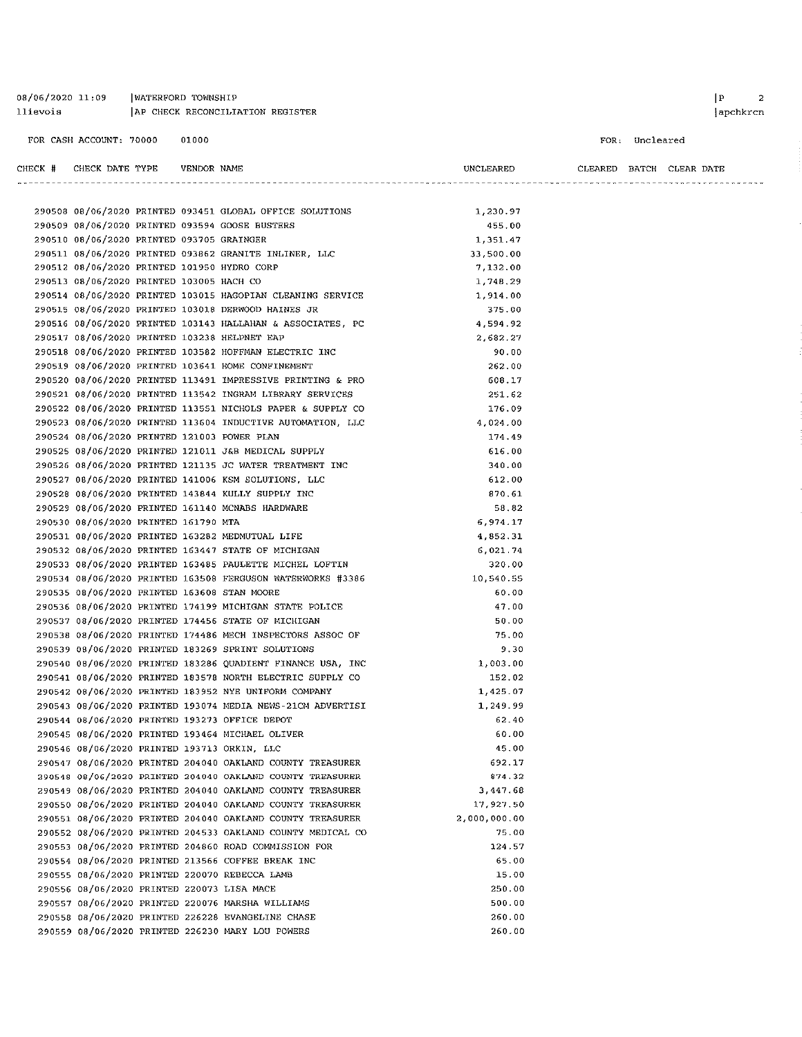| 08/06/2020 11:09 | WATERFORD TOWNSHIP               |
|------------------|----------------------------------|
| llievois         | AP CHECK RECONCILIATION REGISTER |

FOR CASH ACCOUNT: 70000 01000

FOR: Uncleared

| CHECK # | CHECK DATE TYPE                             | VENDOR NAME |                                                            | UNCLEARED    |  | CLEARED BATCH CLEAR DATE |  |
|---------|---------------------------------------------|-------------|------------------------------------------------------------|--------------|--|--------------------------|--|
|         |                                             |             |                                                            |              |  |                          |  |
|         |                                             |             | 290508 08/06/2020 PRINTED 093451 GLOBAL OFFICE SOLUTIONS   | 1.230.97     |  |                          |  |
|         |                                             |             | 290509 08/06/2020 PRINTED 093594 GOOSE BUSTERS             | 455.00       |  |                          |  |
|         | 290510 08/06/2020 PRINTED 093705 GRAINGER   |             |                                                            | 1,351.47     |  |                          |  |
|         |                                             |             | 290511 08/06/2020 PRINTED 093862 GRANITE INLINER, LLC      | 33,500.00    |  |                          |  |
|         | 290512 08/06/2020 PRINTED 101950 HYDRO CORP |             |                                                            | 7.132.00     |  |                          |  |
|         | 290513 08/06/2020 PRINTED 103005 HACH CO    |             |                                                            | 1.748.29     |  |                          |  |
|         |                                             |             | 290514 08/06/2020 PRINTED 103015 HAGOPIAN CLEANING SERVICE | 1,914.00     |  |                          |  |
|         |                                             |             | 290515 08/06/2020 PRINTED 103018 DERWOOD HAINES JR         | 375.00       |  |                          |  |
|         |                                             |             | 290516 08/06/2020 PRINTED 103143 HALLAHAN & ASSOCIATES, PC | 4,594.92     |  |                          |  |
|         |                                             |             | 290517 08/06/2020 PRINTED 103238 HELPNET EAP               | 2,682.27     |  |                          |  |
|         |                                             |             | 290518 08/06/2020 PRINTED 103582 HOFFMAN ELECTRIC INC      | 90.00        |  |                          |  |
|         |                                             |             | 290519 08/06/2020 PRINTED 103641 HOME CONFINEMENT          | 262.00       |  |                          |  |
|         |                                             |             | 290520 08/06/2020 PRINTED 113491 IMPRESSIVE PRINTING & PRO | 608.17       |  |                          |  |
|         |                                             |             | 290521 08/06/2020 PRINTED 113542 INGRAM LIBRARY SERVICES   | 251.62       |  |                          |  |
|         |                                             |             | 290522 08/06/2020 PRINTED 113551 NICHOLS PAPER & SUPPLY CO | 176.09       |  |                          |  |
|         |                                             |             | 290523 08/06/2020 PRINTED 113604 INDUCTIVE AUTOMATION, LLC | 4,024.00     |  |                          |  |
|         | 290524 08/06/2020 PRINTED 121003 POWER PLAN |             |                                                            | 174 49       |  |                          |  |
|         |                                             |             | 290525 08/06/2020 PRINTED 121011 J&B MEDICAL SUPPLY        | 616.00       |  |                          |  |
|         |                                             |             | 290526 08/06/2020 PRINTED 121135 JC WATER TREATMENT INC    | 340.00       |  |                          |  |
|         |                                             |             | 290527 08/06/2020 PRINTED 141006 KSM SOLUTIONS, LLC        | 612.00       |  |                          |  |
|         |                                             |             | 290528 08/06/2020 PRINTED 143844 KULLY SUPPLY INC          | 870.61       |  |                          |  |
|         |                                             |             | 290529 08/06/2020 PRINTED 161140 MCNABS HARDWARE           | 58.82        |  |                          |  |
|         | 290530 08/06/2020 PRINTED 161790 MTA        |             |                                                            | 6,974.17     |  |                          |  |
|         |                                             |             | 290531 08/06/2020 PRINTED 163282 MEDMUTUAL LIFE            | 4,852.31     |  |                          |  |
|         |                                             |             | 290532 08/06/2020 PRINTED 163447 STATE OF MICHIGAN         | 6,021.74     |  |                          |  |
|         |                                             |             | 290533 08/06/2020 PRINTED 163485 PAULETTE MICHEL LOFTIN    | 320.00       |  |                          |  |
|         |                                             |             | 290534 08/06/2020 PRINTED 163508 FERGUSON WATERWORKS #3386 | 10,540.55    |  |                          |  |
|         | 290535 08/06/2020 PRINTED 163608 STAN MOORE |             |                                                            | 60.00        |  |                          |  |
|         |                                             |             | 290536 08/06/2020 PRINTED 174199 MICHIGAN STATE POLICE     | 47.00        |  |                          |  |
|         |                                             |             | 290537 08/06/2020 PRINTED 174456 STATE OF MICHIGAN         | 50.00        |  |                          |  |
|         |                                             |             | 290538 08/06/2020 PRINTED 174486 MECH INSPECTORS ASSOC OF  | 75.00        |  |                          |  |
|         |                                             |             | 290539 08/06/2020 PRINTED 183269 SPRINT SOLUTIONS          | 9.30         |  |                          |  |
|         |                                             |             | 290540 08/06/2020 PRINTED 183286 QUADIENT FINANCE USA, INC | 1,003.00     |  |                          |  |
|         |                                             |             | 290541 08/06/2020 PRINTED 183578 NORTH ELECTRIC SUPPLY CO  | 152.02       |  |                          |  |
|         |                                             |             | 290542 08/06/2020 PRINTED 183952 NYE UNIFORM COMPANY       | 1,425.07     |  |                          |  |
|         |                                             |             | 290543 08/06/2020 PRINTED 193074 MEDIA NEWS-21CM ADVERTISI | 1,249.99     |  |                          |  |
|         |                                             |             | 290544 08/06/2020 PRINTED 193273 OFFICE DEPOT              | 62.40        |  |                          |  |
|         |                                             |             | 290545 08/06/2020 PRINTED 193464 MICHAEL OLIVER            | 60.00        |  |                          |  |
|         |                                             |             | 290546 08/06/2020 PRINTED 193713 ORKIN, LLC                | 45.00        |  |                          |  |
|         |                                             |             | 290547 08/06/2020 PRINTED 204040 OAKLAND COUNTY TREASURER  | 692.17       |  |                          |  |
|         |                                             |             | 290548 08/06/2020 PRINTED 204040 OAKLAND COUNTY TREASURER  | 874.32       |  |                          |  |
|         |                                             |             | 290549 08/06/2020 PRINTED 204040 OAKLAND COUNTY TREASURER  | 3,447.68     |  |                          |  |
|         |                                             |             | 290550 08/06/2020 PRINTED 204040 OAKLAND COUNTY TREASURER  | 17,927.50    |  |                          |  |
|         |                                             |             | 290551 08/06/2020 PRINTED 204040 OAKLAND COUNTY TREASURER  | 2,000,000.00 |  |                          |  |
|         |                                             |             | 290552 08/06/2020 PRINTED 204533 OAKLAND COUNTY MEDICAL CO | 75.00        |  |                          |  |
|         |                                             |             | 290553 08/06/2020 PRINTED 204860 ROAD COMMISSION FOR       | 124.57       |  |                          |  |
|         |                                             |             | 290554 08/06/2020 PRINTED 213566 COFFEE BREAK INC          | 65.00        |  |                          |  |
|         |                                             |             | 290555 08/06/2020 PRINTED 220070 REBECCA LAMB              | 15.00        |  |                          |  |
|         | 290556 08/06/2020 PRINTED 220073 LISA MACE  |             |                                                            | 250.00       |  |                          |  |
|         |                                             |             | 290557 08/06/2020 PRINTED 220076 MARSHA WILLIAMS           | 500.00       |  |                          |  |
|         |                                             |             | 290558 08/06/2020 PRINTED 226228 EVANGELINE CHASE          | 260.00       |  |                          |  |
|         |                                             |             | 290559 08/06/2020 PRINTED 226230 MARY LOU POWERS           | 260.00       |  |                          |  |

 $\begin{array}{ccc} \mid \textbf{P} & \textbf{2} \end{array}$  $|apchkrcn$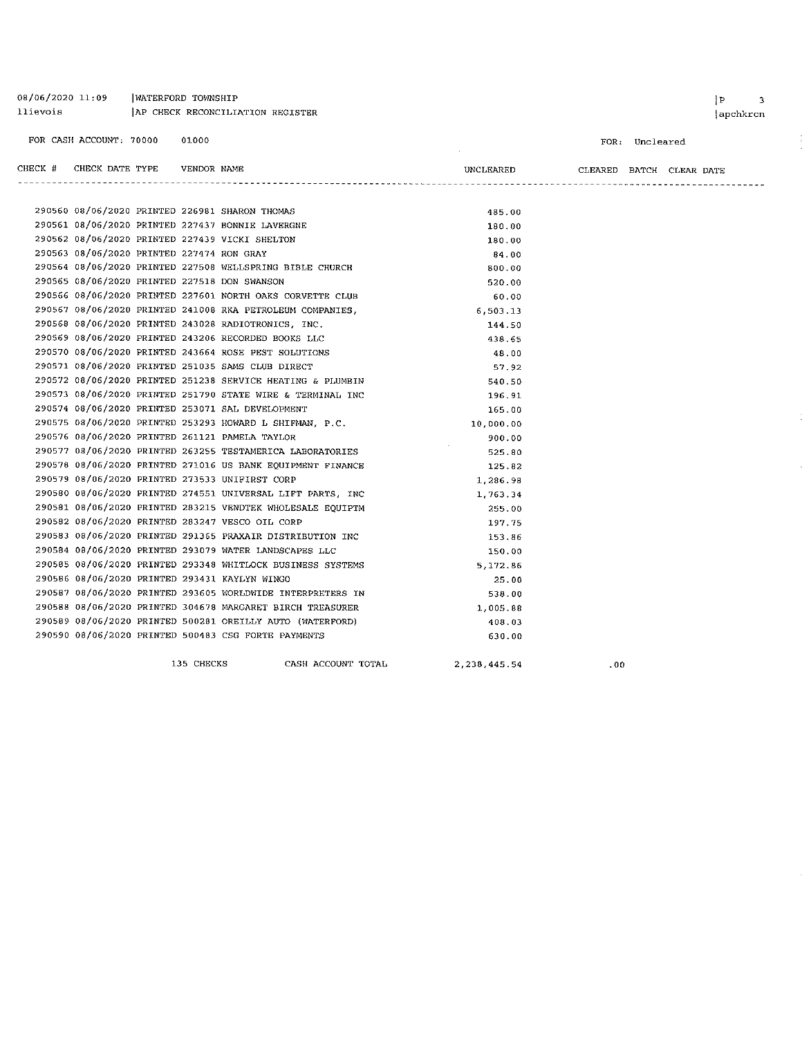| 08/06/2020 11:09<br>llievois |                                           | WATERFORD TOWNSHIP |             | AP CHECK RECONCILIATION REGISTER                           |              |                          |                | P <br>3<br>apchkrcn |
|------------------------------|-------------------------------------------|--------------------|-------------|------------------------------------------------------------|--------------|--------------------------|----------------|---------------------|
|                              | FOR CASH ACCOUNT: 70000                   |                    | 01000       |                                                            |              |                          | FOR: Uncleared |                     |
| CHECK #                      | CHECK DATE TYPE                           |                    | VENDOR NAME |                                                            | UNCLEARED    | CLEARED BATCH CLEAR DATE |                |                     |
|                              |                                           |                    |             | 290560 08/06/2020 PRINTED 226981 SHARON THOMAS             | 485.00       |                          |                |                     |
|                              |                                           |                    |             | 290561 08/06/2020 PRINTED 227437 BONNIE LAVERGNE           | 130.00       |                          |                |                     |
|                              |                                           |                    |             | 290562 08/06/2020 PRINTED 227439 VICKI SHELTON             | 180.00       |                          |                |                     |
|                              | 290563 08/06/2020 PRINTED 227474 RON GRAY |                    |             |                                                            | 84.00        |                          |                |                     |
|                              |                                           |                    |             | 290564 08/06/2020 PRINTED 227508 WELLSPRING BIBLE CHURCH   | 800.00       |                          |                |                     |
|                              |                                           |                    |             | 290565 08/06/2020 PRINTED 227518 DON SWANSON               | 520.00       |                          |                |                     |
|                              |                                           |                    |             | 290566 08/06/2020 PRINTED 227601 NORTH OAKS CORVETTE CLUB  | 60.00        |                          |                |                     |
|                              |                                           |                    |             | 290567 08/06/2020 PRINTED 241008 RKA PETROLEUM COMPANIES,  | 6.503.13     |                          |                |                     |
|                              |                                           |                    |             | 290568 08/06/2020 PRINTED 243028 RADIOTRONICS, INC.        | 144.50       |                          |                |                     |
|                              |                                           |                    |             | 290569 08/06/2020 PRINTED 243206 RECORDED BOOKS LLC        | 438.65       |                          |                |                     |
|                              |                                           |                    |             | 290570 08/06/2020 PRINTED 243664 ROSE PEST SOLUTIONS       | 48.00        |                          |                |                     |
|                              |                                           |                    |             | 290571 08/06/2020 PRINTED 251035 SAMS CLUB DIRECT          | 57.92        |                          |                |                     |
|                              |                                           |                    |             | 290572 08/06/2020 PRINTED 251238 SERVICE HEATING & PLUMBIN | 540.50       |                          |                |                     |
|                              |                                           |                    |             | 290573 08/06/2020 PRINTED 251790 STATE WIRE & TERMINAL INC | 196.91       |                          |                |                     |
|                              |                                           |                    |             | 290574 08/06/2020 PRINTED 253071 SAL DEVELOPMENT           | 165.00       |                          |                |                     |
|                              |                                           |                    |             | 290575 08/06/2020 PRINTED 253293 HOWARD L SHIFMAN, P.C.    | 10,000.00    |                          |                |                     |
|                              |                                           |                    |             | 290576 08/06/2020 PRINTED 261121 PAMELA TAYLOR             | 900.00       |                          |                |                     |
|                              |                                           |                    |             | 290577 08/06/2020 PRINTED 263255 TESTAMERICA LABORATORIES  | 525.80       |                          |                |                     |
|                              |                                           |                    |             | 290578 08/06/2020 PRINTED 271016 US BANK EQUIPMENT FINANCE | 125.82       |                          |                |                     |
|                              |                                           |                    |             | 290579 08/06/2020 PRINTED 273533 UNIFIRST CORP             | 1,286.98     |                          |                |                     |
|                              |                                           |                    |             | 290580 08/06/2020 PRINTED 274551 UNIVERSAL LIFT PARTS, INC | 1.763.34     |                          |                |                     |
|                              |                                           |                    |             | 290581 08/06/2020 PRINTED 283215 VENDTEK WHOLESALE EQUIPTM | 255.00       |                          |                |                     |
|                              |                                           |                    |             | 290582 08/06/2020 PRINTED 283247 VESCO OIL CORP            | 197.75       |                          |                |                     |
|                              |                                           |                    |             | 290583 08/06/2020 PRINTED 291365 PRAXAIR DISTRIBUTION INC  | 153.86       |                          |                |                     |
|                              |                                           |                    |             | 290584 08/06/2020 PRINTED 293079 WATER LANDSCAPES LLC      | 150.00       |                          |                |                     |
|                              |                                           |                    |             | 290585 08/06/2020 PRINTED 293348 WHITLOCK BUSINESS SYSTEMS | 5,172.86     |                          |                |                     |
|                              |                                           |                    |             | 290586 08/06/2020 PRINTED 293431 KAYLYN WINGO              | 25.00        |                          |                |                     |
|                              |                                           |                    |             | 290587 08/06/2020 PRINTED 293605 WORLDWIDE INTERPRETERS IN | 538 00       |                          |                |                     |
|                              |                                           |                    |             | 290588 08/06/2020 PRINTED 304678 MARGARET BIRCH TREASURER  | 1,005.88     |                          |                |                     |
|                              |                                           |                    |             | 290589 08/06/2020 PRINTED 500281 OREILLY AUTO (WATERFORD)  | 408.03       |                          |                |                     |
|                              |                                           |                    |             | 290590 08/06/2020 PRINTED 500483 CSG FORTE PAYMENTS        | 630.00       |                          |                |                     |
|                              |                                           |                    | 135 CHECKS  | CASH ACCOUNT TOTAL                                         | 2,238,445.54 | .00                      |                |                     |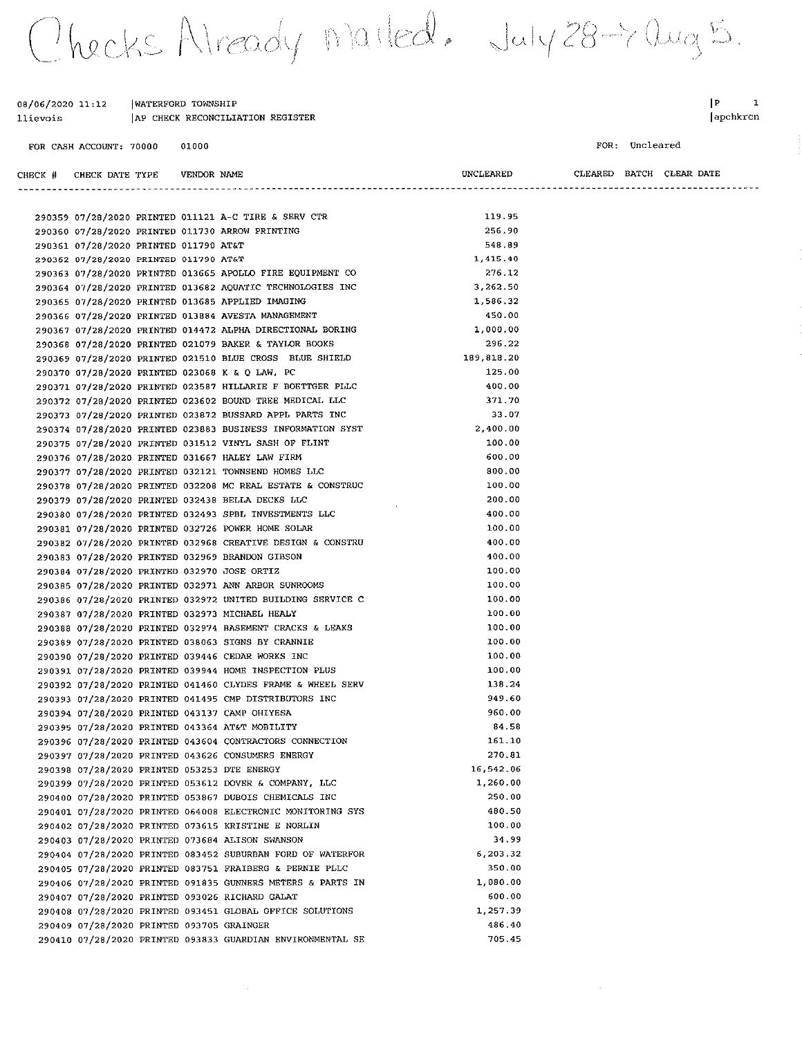Thecks Already marted. July 28-7 aug 5.

| 08/06/2020 11:12 | WATERFORD TOWNSHIP               |
|------------------|----------------------------------|
| llievois         | AP CHECK RECONCILIATION REGISTER |

FOR CASH ACCOUNT: 70000 01000  $\begin{array}{ccc} \mid P & \hspace{1.6cm} 1 \\ \end{array}$ apchkrcn

FOR: Uncleared

 $\mathcal{A}^{\mathcal{A}}$ 

| CHECK # CHECK DATE TYPE                   | VENDOR NAME |                                                            | UNCLEARED   |  | CLEARED BATCH CLEAR DATE |
|-------------------------------------------|-------------|------------------------------------------------------------|-------------|--|--------------------------|
|                                           |             |                                                            |             |  |                          |
|                                           |             |                                                            |             |  |                          |
|                                           |             | 290359 07/28/2020 PRINTED 011121 A-C TIRE & SERV CTR       | 119.95      |  |                          |
|                                           |             | 290360 07/28/2020 PRINTED 011730 ARROW PRINTING            | 256.90      |  |                          |
| 290361 07/28/2020 PRINTED 011790 AT&T     |             |                                                            | 548.89      |  |                          |
| 290362 07/28/2020 PRINTED 011790 AT&T     |             |                                                            | 1,415.40    |  |                          |
|                                           |             | 290363 07/28/2020 PRINTED 013665 APOLLO FIRE EQUIPMENT CO  | 276.12      |  |                          |
|                                           |             | 290364 07/28/2020 PRINTED 013682 AQUATIC TECHNOLOGIES INC  | 3,262.50    |  |                          |
|                                           |             | 290365 07/28/2020 PRINTED 013685 APPLIED IMAGING           | 1,586.32    |  |                          |
|                                           |             | 290366 07/28/2020 PRINTED 013884 AVESTA MANAGEMENT         | 450.00      |  |                          |
|                                           |             | 290367 07/28/2020 PRINTED 014472 ALPHA DIRECTIONAL BORING  | 1,000.00    |  |                          |
|                                           |             | 290368 07/28/2020 PRINTED 021079 BAKER & TAYLOR BOOKS      | 296.22      |  |                          |
|                                           |             | 290369 07/28/2020 PRINTED 021510 BLUE CROSS BLUE SHIELD    | 189, 818.20 |  |                          |
|                                           |             | 290370 07/28/2020 PRINTED 023068 K & Q LAW, PC             | 125.00      |  |                          |
|                                           |             | 290371 07/28/2020 PRINTED 023587 HILLARIE F BOETTGER PLLC  | 400.00      |  |                          |
|                                           |             | 290372 07/28/2020 PRINTED 023602 BOUND TREE MEDICAL LLC    | 371.70      |  |                          |
|                                           |             | 290373 07/28/2020 PRINTED 023872 BUSSARD APPL PARTS INC    | 33.07       |  |                          |
|                                           |             | 290374 07/28/2020 PRINTED 023883 BUSINESS INFORMATION SYST | 2,400.00    |  |                          |
|                                           |             | 290375 07/28/2020 PRINTED 031512 VINYL SASH OF FLINT       | 100.00      |  |                          |
|                                           |             | 290376 07/28/2020 PRINTED 031667 HALEY LAW FIRM            | 600.00      |  |                          |
|                                           |             | 290377 07/28/2020 PRINTED 032121 TOWNSEND HOMES LLC        | 800.00      |  |                          |
|                                           |             | 290378 07/28/2020 PRINTED 032208 MC REAL ESTATE & CONSTRUC | 100.00      |  |                          |
|                                           |             | 290379 07/28/2020 PRINTED 032438 BELLA DECKS LLC           | 200.00      |  |                          |
|                                           |             | 290380 07/28/2020 PRINTED 032493 SPBL INVESTMENTS LLC      | 400.00      |  |                          |
|                                           |             | 290381 07/28/2020 PRINTED 032726 POWER HOME SOLAR          | 100.00      |  |                          |
|                                           |             | 290382 07/28/2020 PRINTED 032968 CREATIVE DESIGN & CONSTRU | 400.00      |  |                          |
|                                           |             | 290383 07/28/2020 PRINTED 032969 BRANDON GIBSON            | 400.00      |  |                          |
|                                           |             | 290384 07/28/2020 PRINTED 032970 JOSE ORTIZ                | 100.00      |  |                          |
|                                           |             | 290385 07/28/2020 PRINTED 032971 ANN ARBOR SUNROOMS        | 100.00      |  |                          |
|                                           |             | 290386 07/28/2020 PRINTED 032972 UNITED BUILDING SERVICE C | 100.00      |  |                          |
|                                           |             | 290387 07/28/2020 PRINTED 032973 MICHAEL HEALY             | 100.00      |  |                          |
|                                           |             | 290388 07/28/2020 PRINTED 032974 BASEMENT CRACKS & LEAKS   | 100.00      |  |                          |
|                                           |             | 290389 07/28/2020 PRINTED 038063 SIGNS BY CRANNIE          | 100.00      |  |                          |
|                                           |             | 290390 07/28/2020 PRINTED 039446 CEDAR WORKS INC           | 100.00      |  |                          |
|                                           |             | 290391 07/28/2020 PRINTED 039944 HOME INSPECTION PLUS      | 100.00      |  |                          |
|                                           |             | 290392 07/28/2020 PRINTED 041460 CLYDES FRAME & WHEEL SERV | 138.24      |  |                          |
|                                           |             | 290393 07/28/2020 PRINTED 041495 CMP DISTRIBUTORS INC      | 949.60      |  |                          |
|                                           |             | 290394 07/28/2020 PRINTED 043137 CAMP OHIYESA              | 960.00      |  |                          |
|                                           |             | 290395 07/28/2020 PRINTED 043364 AT&T MOBILITY             | 84.58       |  |                          |
|                                           |             | 290396 07/28/2020 PRINTED 043604 CONTRACTORS CONNECTION    | 161.10      |  |                          |
|                                           |             | 290397 07/28/2020 PRINTED 043626 CONSUMERS ENERGY          | 270.81      |  |                          |
|                                           |             | 290398 07/28/2020 PRINTED 053253 DTE ENERGY                | 16,542.06   |  |                          |
|                                           |             | 290399 07/28/2020 PRINTED 053612 DOVER & COMPANY, LLC      | 1,260.00    |  |                          |
|                                           |             | 290400 07/28/2020 PRINTED 053867 DUBOIS CHEMICALS INC      | 250.00      |  |                          |
|                                           |             | 290401 07/28/2020 PRINTED 064008 ELECTRONIC MONITORING SYS | 480.50      |  |                          |
|                                           |             | 290402 07/28/2020 PRINTED 073615 KRISTINE E NORLIN         | 100.00      |  |                          |
|                                           |             | 290403 07/28/2020 PRINTED 073684 ALISON SWANSON            | 34.99       |  |                          |
|                                           |             | 290404 07/28/2020 PRINTED 083452 SUBURBAN FORD OF WATERFOR | 6.203.32    |  |                          |
|                                           |             | 290405 07/28/2020 PRINTED 083751 FRAIBERG & PERNIE PLLC    | 350.00      |  |                          |
|                                           |             | 290406 07/28/2020 PRINTED 091835 GUNNERS METERS & PARTS IN | 1,080.00    |  |                          |
|                                           |             | 290407 07/28/2020 PRINTED 093026 RICHARD GALAT             | 600.00      |  |                          |
|                                           |             | 290408 07/28/2020 PRINTED 093451 GLOBAL OFFICE SOLUTIONS   | 1,257.39    |  |                          |
| 290409 07/28/2020 PRINTED 093705 GRAINGER |             |                                                            | 486.40      |  |                          |
|                                           |             | 290410 07/28/2020 PRINTED 093833 GUARDIAN ENVIRONMENTAL SE | 705.45      |  |                          |
|                                           |             |                                                            |             |  |                          |

 $\sim$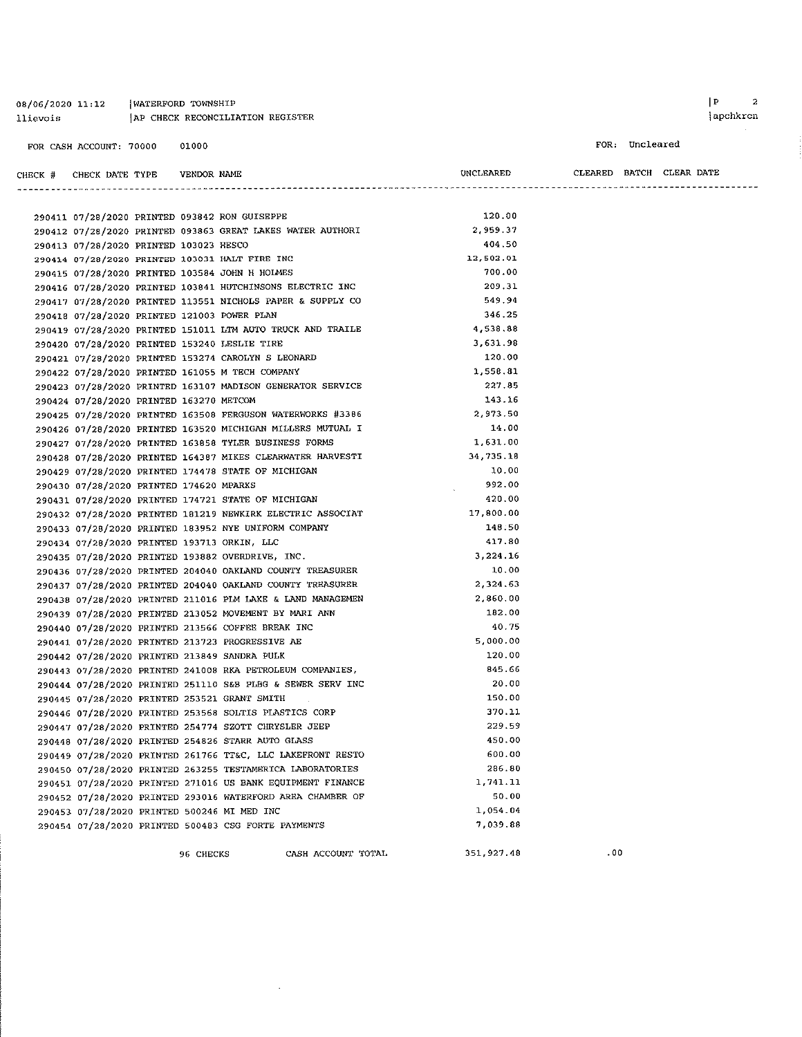#### 08/06/2020 11:12 | WATERFORD TOWNSHIP AP CHECK RECONCILIATION REGISTER llievois

CHECK # CHECK DATE TYPE VENDOR NAME

FOR: Uncleared

CLEARED BATCH CLEAR DATE

UNCLEARED

| 290411 07/28/2020 PRINTED 093842 RON GUISEPPE     |                                                            | 120.00     |
|---------------------------------------------------|------------------------------------------------------------|------------|
|                                                   | 290412 07/28/2020 PRINTED 093863 GREAT LAKES WATER AUTHORI | 2,959.37   |
| 290413 07/28/2020 PRINTED 103023 HESCO            |                                                            | 404.50     |
| 290414 07/28/2020 PRINTED 103031 HALT FIRE INC    |                                                            | 12,502.01  |
| 290415 07/28/2020 PRINTED 103584 JOHN H HOLMES    |                                                            | 700.00     |
|                                                   | 290416 07/28/2020 PRINTED 103841 HUTCHINSONS ELECTRIC INC  | 209.31     |
|                                                   | 290417 07/28/2020 PRINTED 113551 NICHOLS PAPER & SUPPLY CO | 549.94     |
| 290418 07/28/2020 PRINTED 121003 POWER PLAN       |                                                            | 346.25     |
|                                                   | 290419 07/28/2020 PRINTED 151011 LTM AUTO TRUCK AND TRAILE | 4.538.88   |
| 290420 07/28/2020 PRINTED 153240 LESLIE TIRE      |                                                            | 3.631.98   |
|                                                   | 290421 07/28/2020 PRINTED 153274 CAROLYN S LEONARD         | 120.00     |
| 290422 07/28/2020 PRINTED 161055 M TECH COMPANY   |                                                            | 1.558.81   |
|                                                   | 290423 07/28/2020 PRINTED 163107 MADISON GENERATOR SERVICE | 227.85     |
| 290424 07/28/2020 PRINTED 163270 METCOM           |                                                            | 143.16     |
|                                                   | 290425 07/28/2020 PRINTED 163508 FERGUSON WATERWORKS #3386 | 2 973.50   |
|                                                   | 290426 07/28/2020 PRINTED 163520 MICHIGAN MILLERS MUTUAL I | 14.00      |
|                                                   | 290427 07/28/2020 PRINTED 163858 TYLER BUSINESS FORMS      | 1.631.00   |
|                                                   | 290428 07/28/2020 PRINTED 164387 MIKES CLEARWATER HARVESTI | 34,735.18  |
|                                                   | 290429 07/28/2020 PRINTED 174478 STATE OF MICHIGAN         | 10.00      |
| 290430 07/28/2020 PRINTED 174620 MPARKS           |                                                            | 992.00     |
|                                                   | 290431 07/28/2020 PRINTED 174721 STATE OF MICHIGAN         | 420.00     |
|                                                   | 290432 07/28/2020 PRINTED 181219 NEWKIRK ELECTRIC ASSOCIAT | 17,800.00  |
|                                                   | 290433 07/28/2020 PRINTED 183952 NYE UNIFORM COMPANY       | 148.50     |
| 290434 07/28/2020 PRINTED 193713 ORKIN, LLC       |                                                            | 417.80     |
| 290435 07/28/2020 PRINTED 193882 OVERDRIVE, INC.  |                                                            | 3.224.16   |
|                                                   | 290436 07/28/2020 PRINTED 204040 OAKLAND COUNTY TREASURER  | 10.00      |
|                                                   | 290437 07/28/2020 PRINTED 204040 OAKLAND COUNTY TREASURER  | 2.324.63   |
|                                                   | 290438 07/28/2020 PRINTED 211016 PLM LAKE & LAND MANAGEMEN | 2.860.00   |
|                                                   | 290439 07/28/2020 PRINTED 213052 MOVEMENT BY MARI ANN      | 182.00     |
| 290440 07/28/2020 PRINTED 213566 COFFEE BREAK INC |                                                            | 40.75      |
| 290441 07/28/2020 PRINTED 213723 PROGRESSIVE AE   |                                                            | 5.000.00   |
| 290442 07/28/2020 PRINTED 213849 SANDRA PULK      |                                                            | 120.00     |
|                                                   | 290443 07/28/2020 PRINTED 241008 RKA PETROLEUM COMPANIES,  | 845.66     |
|                                                   | 290444 07/28/2020 PRINTED 251110 S&B PLBG & SEWER SERV INC | 20.00      |
| 290445 07/28/2020 PRINTED 253521 GRANT SMITH      |                                                            | 150.00     |
|                                                   | 290446 07/28/2020 PRINTED 253568 SOLTIS PLASTICS CORP      | 370.11     |
|                                                   | 290447 07/28/2020 PRINTED 254774 SZOTT CHRYSLER JEEP       | 229.59     |
|                                                   | 290448 07/28/2020 PRINTED 254826 STARR AUTO GLASS          | 450.00     |
|                                                   | 290449 07/28/2020 PRINTED 261766 TT&C, LLC LAKEFRONT RESTO | 600.00     |
|                                                   | 290450 07/28/2020 PRINTED 263255 TESTAMERICA LABORATORIES  | 286.80     |
|                                                   | 290451 07/28/2020 PRINTED 271016 US BANK EQUIPMENT FINANCE | 1.741.11   |
|                                                   | 290452 07/28/2020 PRINTED 293016 WATERFORD AREA CHAMBER OF | 50.00      |
| 290453 07/28/2020 PRINTED 500246 MI MED INC       |                                                            | 1.054.04   |
|                                                   | 290454 07/28/2020 PRINTED 500483 CSG FORTE PAYMENTS        | 7,039.88   |
|                                                   |                                                            |            |
|                                                   | 96 CHECKS CASH ACCOUNT TOTAL                               | 351.927.48 |

 $\hat{\boldsymbol{\beta}}$